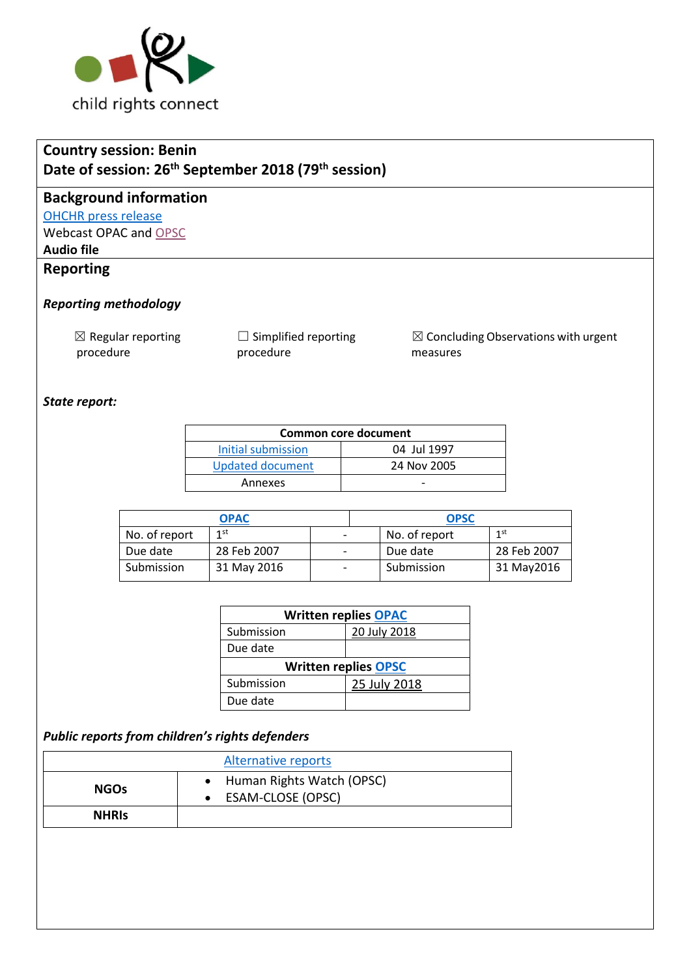

# **Country session: Benin Date of session: 26th September 2018 (79 th session)**

### **Background information**

#### [OHCHR press release](https://www.unog.ch/unog/website/news_media.nsf/(httpNewsByYear_en)/5CD8FEAC328AD210C1258314005884D1?OpenDocument)

Webcast OPAC and [OPSC](http://webtv.un.org/search/consideration-of-benin-opsc-2325th-meeting-79th-session-committee-on-the-rights-of-the-child/5840500510001/?term=crc&sort=date&page=2)

### **Audio file**

## **Reporting**

### *Reporting methodology*

 $\boxtimes$  Regular reporting procedure

□ Simplified reporting procedure

☒ Concluding Observations with urgent measures

### *State report:*

| Common core document |             |  |  |  |
|----------------------|-------------|--|--|--|
| Initial submission   | 04 Jul 1997 |  |  |  |
| Updated document     | 24 Nov 2005 |  |  |  |
| Annexes              |             |  |  |  |

| <b>OPAC</b>   |             | <b>OPSC</b>              |  |               |             |
|---------------|-------------|--------------------------|--|---------------|-------------|
| No. of report | 1st         | $\overline{\phantom{a}}$ |  | No. of report | 1 st        |
| Due date      | 28 Feb 2007 | $\overline{\phantom{a}}$ |  | Due date      | 28 Feb 2007 |
| Submission    | 31 May 2016 | $\overline{\phantom{0}}$ |  | Submission    | 31 May 2016 |

| <b>Written replies OPAC</b> |              |  |  |  |
|-----------------------------|--------------|--|--|--|
| Submission                  | 20 July 2018 |  |  |  |
| Due date                    |              |  |  |  |
| <b>Written replies OPSC</b> |              |  |  |  |
|                             |              |  |  |  |
| Submission                  | 25 July 2018 |  |  |  |

### *Public reports from children's rights defenders*

|              | Alternative reports                              |
|--------------|--------------------------------------------------|
| <b>NGOs</b>  | • Human Rights Watch (OPSC)<br>ESAM-CLOSE (OPSC) |
| <b>NHRIS</b> |                                                  |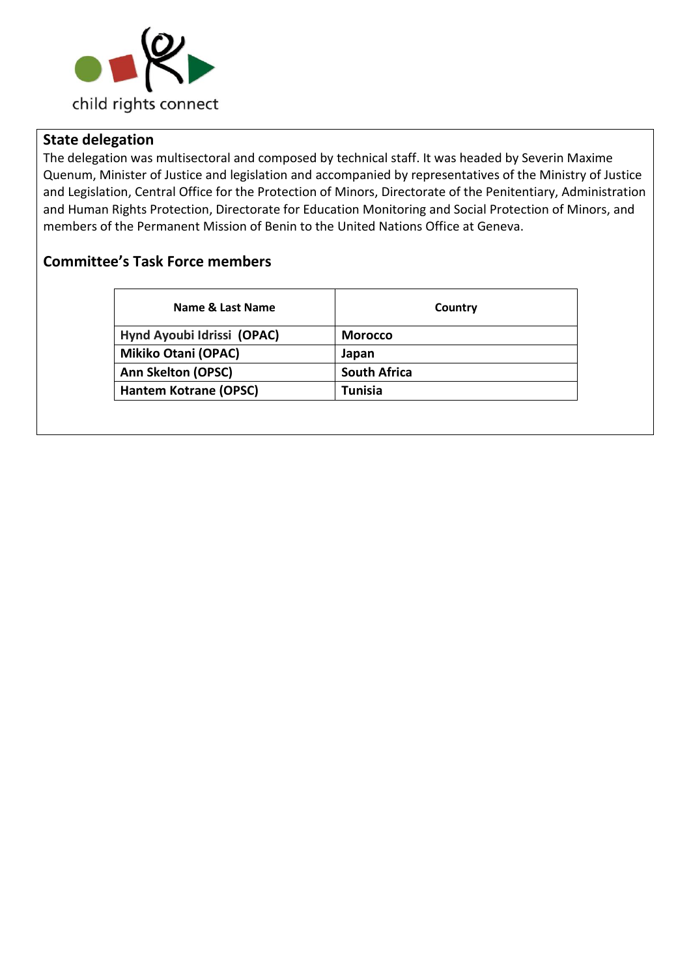

## **State delegation**

The delegation was multisectoral and composed by technical staff. It was headed by Severin Maxime Quenum, Minister of Justice and legislation and accompanied by representatives of the Ministry of Justice and Legislation, Central Office for the Protection of Minors, Directorate of the Penitentiary, Administration and Human Rights Protection, Directorate for Education Monitoring and Social Protection of Minors, and members of the Permanent Mission of Benin to the United Nations Office at Geneva.

## **Committee's Task Force members**

| Name & Last Name             | Country             |
|------------------------------|---------------------|
| Hynd Ayoubi Idrissi (OPAC)   | <b>Morocco</b>      |
| <b>Mikiko Otani (OPAC)</b>   | Japan               |
| <b>Ann Skelton (OPSC)</b>    | <b>South Africa</b> |
| <b>Hantem Kotrane (OPSC)</b> | <b>Tunisia</b>      |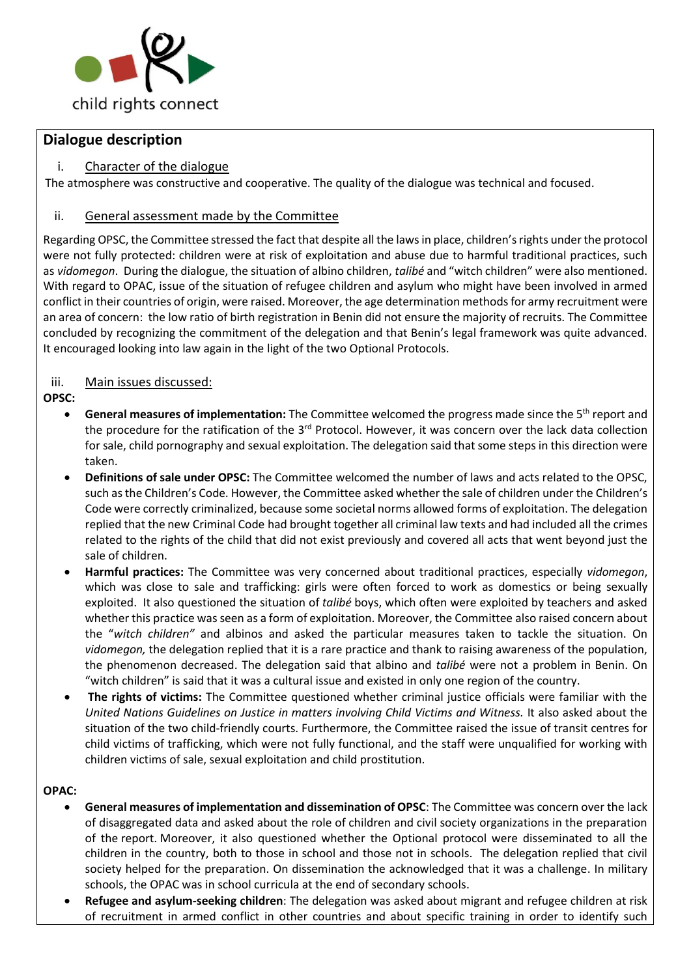

### **Dialogue description**

### i. Character of the dialogue

The atmosphere was constructive and cooperative. The quality of the dialogue was technical and focused.

#### ii. General assessment made by the Committee

Regarding OPSC, the Committee stressed the fact that despite all the lawsin place, children's rights under the protocol were not fully protected: children were at risk of exploitation and abuse due to harmful traditional practices, such as *vidomegon*. During the dialogue, the situation of albino children, *talibé* and "witch children" were also mentioned. With regard to OPAC, issue of the situation of refugee children and asylum who might have been involved in armed conflict in their countries of origin, were raised. Moreover, the age determination methods for army recruitment were an area of concern: the low ratio of birth registration in Benin did not ensure the majority of recruits. The Committee concluded by recognizing the commitment of the delegation and that Benin's legal framework was quite advanced. It encouraged looking into law again in the light of the two Optional Protocols.

### iii. Main issues discussed:

### **OPSC:**

- General measures of implementation: The Committee welcomed the progress made since the 5<sup>th</sup> report and the procedure for the ratification of the 3<sup>rd</sup> Protocol. However, it was concern over the lack data collection for sale, child pornography and sexual exploitation. The delegation said that some steps in this direction were taken.
- **Definitions of sale under OPSC:** The Committee welcomed the number of laws and acts related to the OPSC, such as the Children's Code. However, the Committee asked whether the sale of children under the Children's Code were correctly criminalized, because some societal norms allowed forms of exploitation. The delegation replied that the new Criminal Code had brought together all criminal law texts and had included all the crimes related to the rights of the child that did not exist previously and covered all acts that went beyond just the sale of children.
- **Harmful practices:** The Committee was very concerned about traditional practices, especially *vidomegon*, which was close to sale and trafficking: girls were often forced to work as domestics or being sexually exploited. It also questioned the situation of *talibé* boys, which often were exploited by teachers and asked whether this practice was seen as a form of exploitation. Moreover, the Committee also raised concern about the "*witch children"* and albinos and asked the particular measures taken to tackle the situation. On *vidomegon,* the delegation replied that it is a rare practice and thank to raising awareness of the population, the phenomenon decreased. The delegation said that albino and *talibé* were not a problem in Benin. On "witch children" is said that it was a cultural issue and existed in only one region of the country.
- **The rights of victims:** The Committee questioned whether criminal justice officials were familiar with the *United Nations Guidelines on Justice in matters involving Child Victims and Witness.* It also asked about the situation of the two child-friendly courts. Furthermore, the Committee raised the issue of transit centres for child victims of trafficking, which were not fully functional, and the staff were unqualified for working with children victims of sale, sexual exploitation and child prostitution.

#### **OPAC:**

- **General measures of implementation and dissemination of OPSC**: The Committee was concern over the lack of disaggregated data and asked about the role of children and civil society organizations in the preparation of the report. Moreover, it also questioned whether the Optional protocol were disseminated to all the children in the country, both to those in school and those not in schools. The delegation replied that civil society helped for the preparation. On dissemination the acknowledged that it was a challenge. In military schools, the OPAC was in school curricula at the end of secondary schools.
- **Refugee and asylum-seeking children**: The delegation was asked about migrant and refugee children at risk of recruitment in armed conflict in other countries and about specific training in order to identify such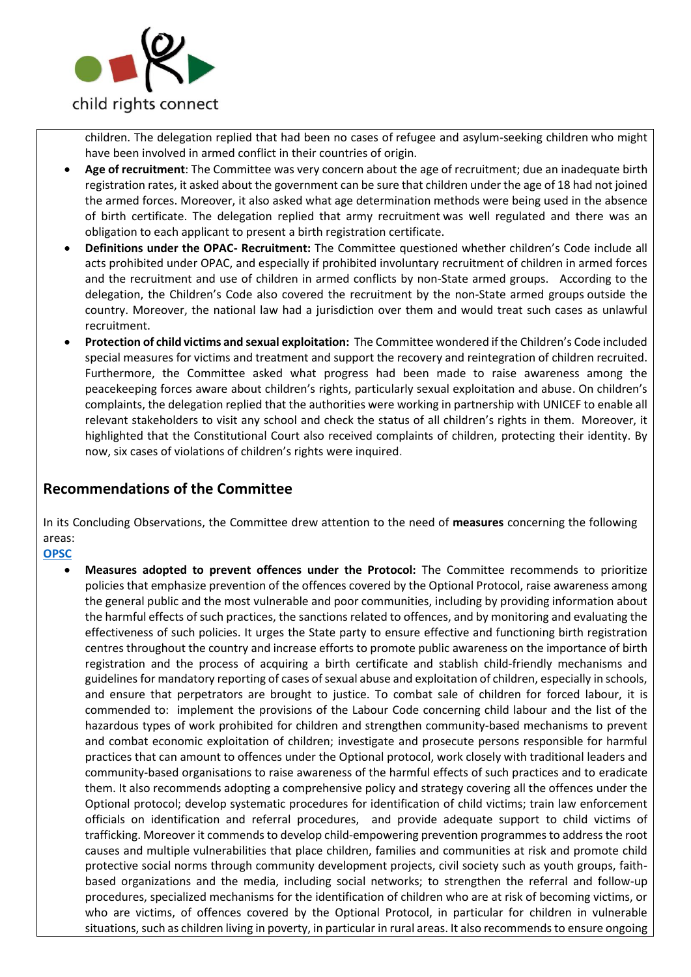

children. The delegation replied that had been no cases of refugee and asylum-seeking children who might have been involved in armed conflict in their countries of origin.

- **Age of recruitment**: The Committee was very concern about the age of recruitment; due an inadequate birth registration rates, it asked about the government can be sure that children under the age of 18 had not joined the armed forces. Moreover, it also asked what age determination methods were being used in the absence of birth certificate. The delegation replied that army recruitment was well regulated and there was an obligation to each applicant to present a birth registration certificate.
- **Definitions under the OPAC- Recruitment:** The Committee questioned whether children's Code include all acts prohibited under OPAC, and especially if prohibited involuntary recruitment of children in armed forces and the recruitment and use of children in armed conflicts by non-State armed groups. According to the delegation, the Children's Code also covered the recruitment by the non-State armed groups outside the country. Moreover, the national law had a jurisdiction over them and would treat such cases as unlawful recruitment.
- **Protection of child victims and sexual exploitation:** The Committee wondered if the Children's Code included special measures for victims and treatment and support the recovery and reintegration of children recruited. Furthermore, the Committee asked what progress had been made to raise awareness among the peacekeeping forces aware about children's rights, particularly sexual exploitation and abuse. On children's complaints, the delegation replied that the authorities were working in partnership with UNICEF to enable all relevant stakeholders to visit any school and check the status of all children's rights in them. Moreover, it highlighted that the Constitutional Court also received complaints of children, protecting their identity. By now, six cases of violations of children's rights were inquired.

## **Recommendations of the Committee**

In its Concluding Observations, the Committee drew attention to the need of **measures** concerning the following areas:

**[OPSC](https://tbinternet.ohchr.org/_layouts/treatybodyexternal/Download.aspx?symbolno=CRC%2fC%2fOPSC%2fBEN%2fCO%2f1&Lang=en)**

• **Measures adopted to prevent offences under the Protocol:** The Committee recommends to prioritize policies that emphasize prevention of the offences covered by the Optional Protocol, raise awareness among the general public and the most vulnerable and poor communities, including by providing information about the harmful effects of such practices, the sanctions related to offences, and by monitoring and evaluating the effectiveness of such policies. It urges the State party to ensure effective and functioning birth registration centres throughout the country and increase efforts to promote public awareness on the importance of birth registration and the process of acquiring a birth certificate and stablish child-friendly mechanisms and guidelines for mandatory reporting of cases of sexual abuse and exploitation of children, especially in schools, and ensure that perpetrators are brought to justice. To combat sale of children for forced labour, it is commended to: implement the provisions of the Labour Code concerning child labour and the list of the hazardous types of work prohibited for children and strengthen community-based mechanisms to prevent and combat economic exploitation of children; investigate and prosecute persons responsible for harmful practices that can amount to offences under the Optional protocol, work closely with traditional leaders and community-based organisations to raise awareness of the harmful effects of such practices and to eradicate them. It also recommends adopting a comprehensive policy and strategy covering all the offences under the Optional protocol; develop systematic procedures for identification of child victims; train law enforcement officials on identification and referral procedures, and provide adequate support to child victims of trafficking. Moreover it commends to develop child-empowering prevention programmes to address the root causes and multiple vulnerabilities that place children, families and communities at risk and promote child protective social norms through community development projects, civil society such as youth groups, faithbased organizations and the media, including social networks; to strengthen the referral and follow-up procedures, specialized mechanisms for the identification of children who are at risk of becoming victims, or who are victims, of offences covered by the Optional Protocol, in particular for children in vulnerable situations, such as children living in poverty, in particular in rural areas. It also recommends to ensure ongoing